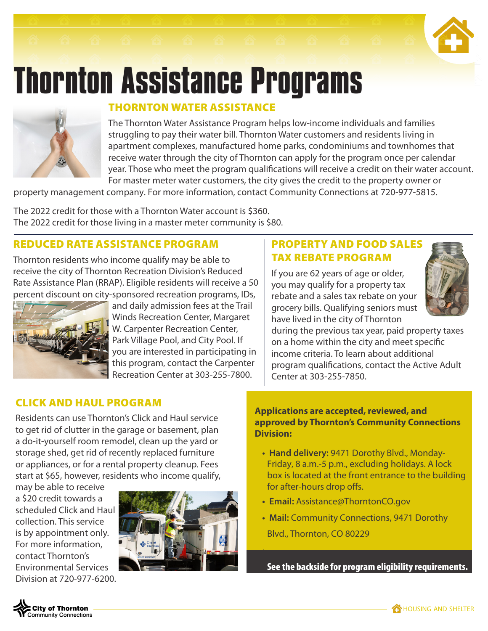# **Thornton Assistance Programs**



# THORNTON WATER ASSISTANCE

The Thornton Water Assistance Program helps low-income individuals and families struggling to pay their water bill. Thornton Water customers and residents living in apartment complexes, manufactured home parks, condominiums and townhomes that receive water through the city of Thornton can apply for the program once per calendar year. Those who meet the program qualifications will receive a credit on their water account. For master meter water customers, the city gives the credit to the property owner or

property management company. For more information, contact Community Connections at 720-977-5815.

The 2022 credit for those with a Thornton Water account is \$360. The 2022 credit for those living in a master meter community is \$80.

# REDUCED RATE ASSISTANCE PROGRAM

Thornton residents who income qualify may be able to receive the city of Thornton Recreation Division's Reduced Rate Assistance Plan (RRAP). Eligible residents will receive a 50 percent discount on city-sponsored recreation programs, IDs,



and daily admission fees at the Trail Winds Recreation Center, Margaret W. Carpenter Recreation Center, Park Village Pool, and City Pool. If you are interested in participating in this program, contact the Carpenter Recreation Center at 303-255-7800.

## PROPERTY AND FOOD SALES TAX REBATE PROGRAM

If you are 62 years of age or older, you may qualify for a property tax rebate and a sales tax rebate on your grocery bills. Qualifying seniors must have lived in the city of Thornton



during the previous tax year, paid property taxes on a home within the city and meet specific income criteria. To learn about additional program qualifications, contact the Active Adult Center at 303-255-7850.

# CLICK AND HAUL PROGRAM

Residents can use Thornton's Click and Haul service to get rid of clutter in the garage or basement, plan a do-it-yourself room remodel, clean up the yard or storage shed, get rid of recently replaced furniture or appliances, or for a rental property cleanup. Fees start at \$65, however, residents who income qualify,

may be able to receive a \$20 credit towards a scheduled Click and Haul collection. This service is by appointment only. For more information, contact Thornton's Environmental Services Division at 720-977-6200.



#### **Applications are accepted, reviewed, and approved by Thornton's Community Connections Division:**

- **Hand delivery:** 9471 Dorothy Blvd., Monday-Friday, 8 a.m.-5 p.m., excluding holidays. A lock box is located at the front entrance to the building for after-hours drop offs.
- **Email:** Assistance@ThorntonCO.gov

**•**

**• Mail:** Community Connections, 9471 Dorothy Blvd., Thornton, CO 80229

See the backside for program eligibility requirements.



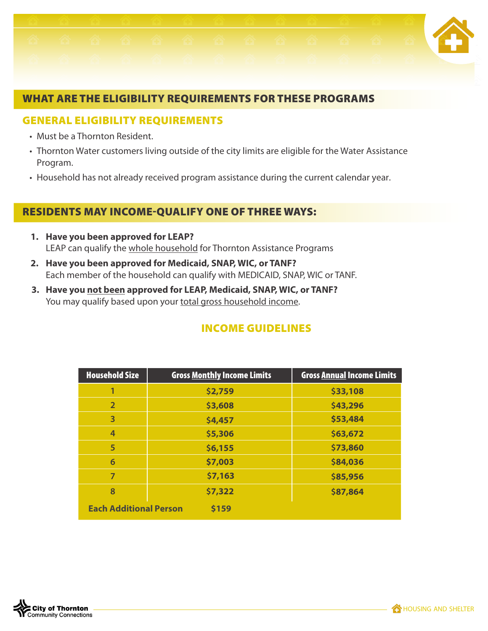

#### WHAT ARE THE ELIGIBILITY REQUIREMENTS FOR THESE PROGRAMS

#### GENERAL ELIGIBILITY REQUIREMENTS

- Must be a Thornton Resident.
- Thornton Water customers living outside of the city limits are eligible for the Water Assistance Program.
- Household has not already received program assistance during the current calendar year.

### RESIDENTS MAY INCOME-QUALIFY ONE OF THREE WAYS:

- **1. Have you been approved for LEAP?** LEAP can qualify the whole household for Thornton Assistance Programs
- **2. Have you been approved for Medicaid, SNAP, WIC, or TANF?** Each member of the household can qualify with MEDICAID, SNAP, WIC or TANF.
- **3. Have you not been approved for LEAP, Medicaid, SNAP, WIC, or TANF?** You may qualify based upon your total gross household income.

| <b>Household Size</b>                  | <b>Gross Monthly Income Limits</b> | <b>Gross Annual Income Limits</b> |  |  |  |
|----------------------------------------|------------------------------------|-----------------------------------|--|--|--|
|                                        | \$2,759                            | \$33,108                          |  |  |  |
| $\overline{2}$                         | \$3,608                            | \$43,296                          |  |  |  |
| 3                                      | \$4,457                            | \$53,484                          |  |  |  |
| 4                                      | \$5,306                            | \$63,672                          |  |  |  |
| 5                                      | \$6,155                            | \$73,860                          |  |  |  |
| 6                                      | \$7,003                            | \$84,036                          |  |  |  |
| 7                                      | \$7,163                            | \$85,956                          |  |  |  |
| 8                                      | \$7,322                            | \$87,864                          |  |  |  |
| <b>Each Additional Person</b><br>\$159 |                                    |                                   |  |  |  |

#### INCOME GUIDELINES

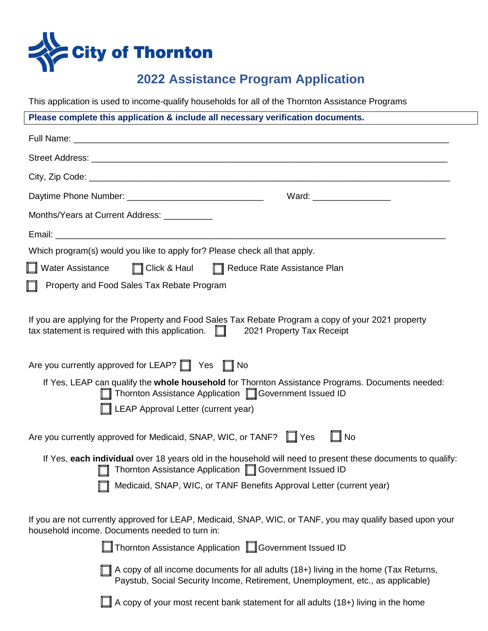

# **2022 Assistance Program Application**

This application is used to income-qualify households for all of the Thornton Assistance Programs

| Please complete this application & include all necessary verification documents.                                                                                                         |  |  |  |  |  |
|------------------------------------------------------------------------------------------------------------------------------------------------------------------------------------------|--|--|--|--|--|
|                                                                                                                                                                                          |  |  |  |  |  |
|                                                                                                                                                                                          |  |  |  |  |  |
|                                                                                                                                                                                          |  |  |  |  |  |
| Ward: ____________________                                                                                                                                                               |  |  |  |  |  |
| Months/Years at Current Address: ___________                                                                                                                                             |  |  |  |  |  |
|                                                                                                                                                                                          |  |  |  |  |  |
| Which program(s) would you like to apply for? Please check all that apply.                                                                                                               |  |  |  |  |  |
| ■ Water Assistance ■ Click & Haul ■ Reduce Rate Assistance Plan                                                                                                                          |  |  |  |  |  |
| Property and Food Sales Tax Rebate Program                                                                                                                                               |  |  |  |  |  |
| If you are applying for the Property and Food Sales Tax Rebate Program a copy of your 2021 property<br>tax statement is required with this application. $\Box$ 2021 Property Tax Receipt |  |  |  |  |  |
| Are you currently approved for LEAP? The Yes The No                                                                                                                                      |  |  |  |  |  |
| If Yes, LEAP can qualify the whole household for Thornton Assistance Programs. Documents needed:<br>Thornton Assistance Application □ Government Issued ID                               |  |  |  |  |  |
| $\mathbb I$ LEAP Approval Letter (current year)                                                                                                                                          |  |  |  |  |  |
| Are you currently approved for Medicaid, SNAP, WIC, or TANF? The Yes<br>$\mathbf{L}$ No                                                                                                  |  |  |  |  |  |
| If Yes, each individual over 18 years old in the household will need to present these documents to qualify:<br>Thornton Assistance Application Covernment Issued ID                      |  |  |  |  |  |
| Medicaid, SNAP, WIC, or TANF Benefits Approval Letter (current year)                                                                                                                     |  |  |  |  |  |
| If you are not currently approved for LEAP, Medicaid, SNAP, WIC, or TANF, you may qualify based upon your<br>household income. Documents needed to turn in:                              |  |  |  |  |  |
| Thornton Assistance Application <b>Government Issued ID</b>                                                                                                                              |  |  |  |  |  |
| A copy of all income documents for all adults (18+) living in the home (Tax Returns,<br>Paystub, Social Security Income, Retirement, Unemployment, etc., as applicable)                  |  |  |  |  |  |
| A copy of your most recent bank statement for all adults (18+) living in the home                                                                                                        |  |  |  |  |  |